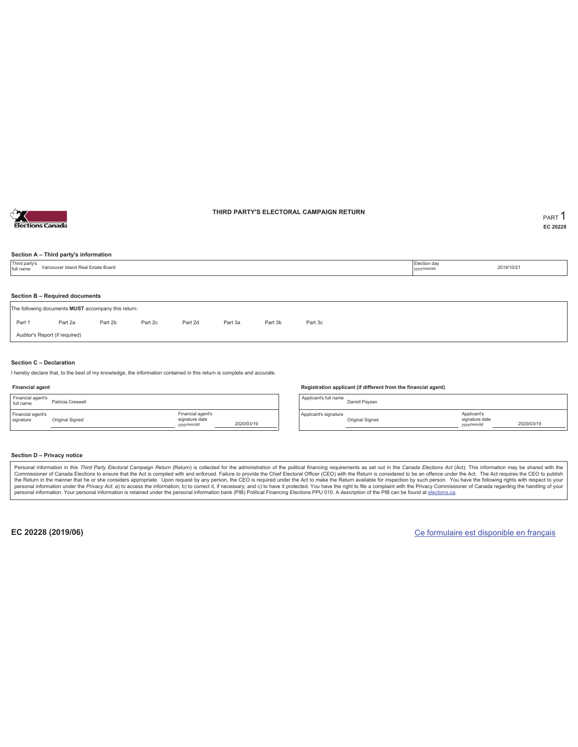

### **THIRD PARTY'S ELECTORAL CAMPAIGN RETURN PART** 1

**EC 20228**

#### **Section A – Third party's information**

| Third party's<br>full name                          | Vancouver Island Real Estate Board                                        |  |  |  |  |  |  |  | Election day<br>yyyy/mm/dd | 2019/10/21 |  |  |
|-----------------------------------------------------|---------------------------------------------------------------------------|--|--|--|--|--|--|--|----------------------------|------------|--|--|
|                                                     | Section B - Required documents                                            |  |  |  |  |  |  |  |                            |            |  |  |
| The following documents MUST accompany this return: |                                                                           |  |  |  |  |  |  |  |                            |            |  |  |
| Part 1                                              | Part 2b<br>Part 2d<br>Part 2a<br>Part 2c<br>Part 3a<br>Part 3b<br>Part 3c |  |  |  |  |  |  |  |                            |            |  |  |
|                                                     | Auditor's Report (if required)                                            |  |  |  |  |  |  |  |                            |            |  |  |

#### **Section C – Declaration**

I hereby declare that, to the best of my knowledge, the information contained in this return is complete and accurate.

#### **Financial agent**

| Financial agent's<br>full name | Patricia Creswell |                                                  |            |
|--------------------------------|-------------------|--------------------------------------------------|------------|
| Financial agent's<br>signature | Original Signed   | Financial agent's<br>signature date<br>yyy/mm/dd | 2020/03/19 |

#### **Registration applicant (if different from the financial agent)**

Applicant's full name<br>
Darrell Paysen Applicant's signature Original Signed Applicant's signature date *yyyy/mm/dd* 2020/03/19

#### **Section D – Privacy notice**

Personal information in this Third Party Electoral Campaign Return (Return) is collected for the administration of the political financing requirements as set out in the Canada Elections Act (Act). This information may be Commissioner of Canada Elections to ensure that the Act is complied with and enforced. Failure to provide the Chief Electoral Officer (CEO) with the Return is considered to be an offence under the Act. The Act requires the personal information. Your personal information is retained under the personal information bank (PIB) Political Financing Elections PPU 010. A description of the PIB can be found at elections.ca.

**EC 20228 (2019/06)** Ce formulaire est disponible en français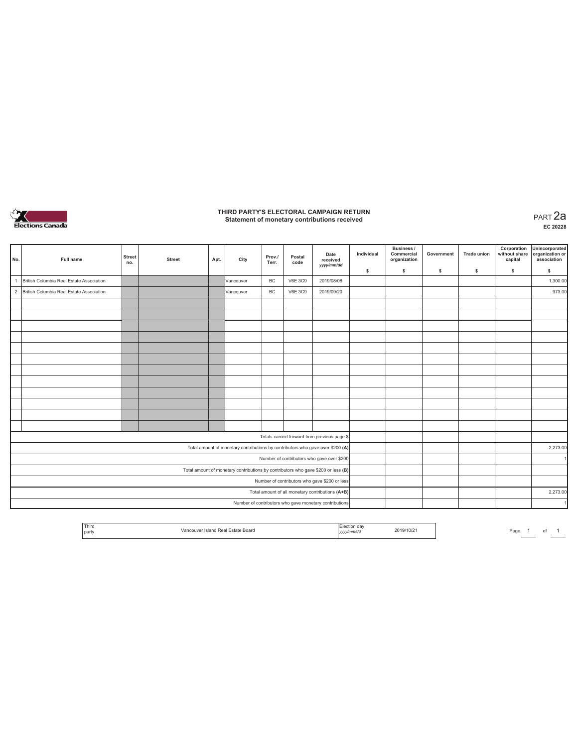

### **THIRD PARTY'S ELECTORAL CAMPAIGN RETURN Statement of monetary contributions received** PART 2a

| No.            | Full name                                                                         | <b>Street</b><br>no.                          | <b>Street</b> | Apt. | City                                                                           | Prov./<br>Terr. | Postal<br>code | Date<br>received<br>yyyy/mm/dd                         | Individual | Business /<br>Commercial<br>organization | Government | <b>Trade union</b> | Corporation<br>without share<br>capital | Unincorporated<br>organization or<br>association |
|----------------|-----------------------------------------------------------------------------------|-----------------------------------------------|---------------|------|--------------------------------------------------------------------------------|-----------------|----------------|--------------------------------------------------------|------------|------------------------------------------|------------|--------------------|-----------------------------------------|--------------------------------------------------|
|                |                                                                                   |                                               |               |      |                                                                                |                 |                |                                                        | \$         | \$                                       | \$         | s                  | \$                                      | \$                                               |
| $\overline{1}$ | British Columbia Real Estate Association                                          |                                               |               |      | <b>Vancouver</b>                                                               | <b>BC</b>       | <b>V6E 3C9</b> | 2019/08/08                                             |            |                                          |            |                    |                                         | 1,300.00                                         |
|                | 2 British Columbia Real Estate Association                                        |                                               |               |      | Vancouver                                                                      | BC              | <b>V6E 3C9</b> | 2019/09/20                                             |            |                                          |            |                    |                                         | 973.00                                           |
|                |                                                                                   |                                               |               |      |                                                                                |                 |                |                                                        |            |                                          |            |                    |                                         |                                                  |
|                |                                                                                   |                                               |               |      |                                                                                |                 |                |                                                        |            |                                          |            |                    |                                         |                                                  |
|                |                                                                                   |                                               |               |      |                                                                                |                 |                |                                                        |            |                                          |            |                    |                                         |                                                  |
|                |                                                                                   |                                               |               |      |                                                                                |                 |                |                                                        |            |                                          |            |                    |                                         |                                                  |
|                |                                                                                   |                                               |               |      |                                                                                |                 |                |                                                        |            |                                          |            |                    |                                         |                                                  |
|                |                                                                                   |                                               |               |      |                                                                                |                 |                |                                                        |            |                                          |            |                    |                                         |                                                  |
|                |                                                                                   |                                               |               |      |                                                                                |                 |                |                                                        |            |                                          |            |                    |                                         |                                                  |
|                |                                                                                   |                                               |               |      |                                                                                |                 |                |                                                        |            |                                          |            |                    |                                         |                                                  |
|                |                                                                                   |                                               |               |      |                                                                                |                 |                |                                                        |            |                                          |            |                    |                                         |                                                  |
|                |                                                                                   |                                               |               |      |                                                                                |                 |                |                                                        |            |                                          |            |                    |                                         |                                                  |
|                |                                                                                   |                                               |               |      |                                                                                |                 |                |                                                        |            |                                          |            |                    |                                         |                                                  |
|                |                                                                                   |                                               |               |      |                                                                                |                 |                |                                                        |            |                                          |            |                    |                                         |                                                  |
|                |                                                                                   |                                               |               |      |                                                                                |                 |                | Totals carried forward from previous page \$           |            |                                          |            |                    |                                         |                                                  |
|                |                                                                                   |                                               |               |      | Total amount of monetary contributions by contributors who gave over \$200 (A) |                 |                |                                                        |            |                                          |            |                    |                                         | 2,273.00                                         |
|                |                                                                                   |                                               |               |      |                                                                                |                 |                | Number of contributors who gave over \$200             |            |                                          |            |                    |                                         |                                                  |
|                | Total amount of monetary contributions by contributors who gave \$200 or less (B) |                                               |               |      |                                                                                |                 |                |                                                        |            |                                          |            |                    |                                         |                                                  |
|                |                                                                                   | Number of contributors who gave \$200 or less |               |      |                                                                                |                 |                |                                                        |            |                                          |            |                    |                                         |                                                  |
|                |                                                                                   |                                               |               |      |                                                                                |                 |                | Total amount of all monetary contributions (A+B)       |            |                                          |            |                    |                                         | 2,273.00                                         |
|                |                                                                                   |                                               |               |      |                                                                                |                 |                | Number of contributors who gave monetary contributions |            |                                          |            |                    |                                         | $\blacktriangleleft$                             |

| <b>Third</b><br>party | ' Estate Boaro<br>Island Real | 111111000<br>,,,,,,, | 2019/10/2 |  | Page |  |  |  |
|-----------------------|-------------------------------|----------------------|-----------|--|------|--|--|--|
|-----------------------|-------------------------------|----------------------|-----------|--|------|--|--|--|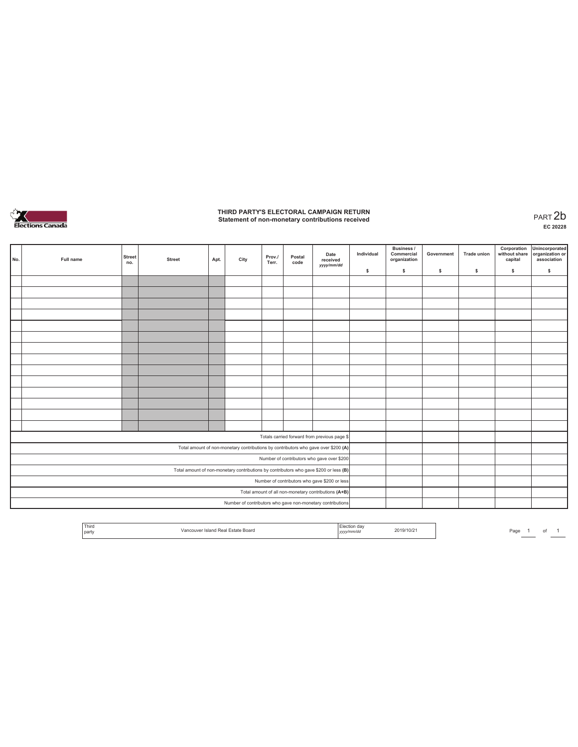

## **THIRD PARTY'S ELECTORAL CAMPAIGN RETURN Statement of non-monetary contributions received** PART 2b

| No. | Full name | <b>Street</b><br>no. | <b>Street</b> | Apt. | City | Prov./<br>Terr. | Postal<br>code | Date<br>received<br>yyyy/mm/dd                                                        | Individual<br>\$ | <b>Business /</b><br>Commercial<br>organization<br>s. | Government<br>s | <b>Trade union</b><br>s | Corporation<br>\$ | Unincorporated<br>without share organization or<br>capital association<br>\$ |
|-----|-----------|----------------------|---------------|------|------|-----------------|----------------|---------------------------------------------------------------------------------------|------------------|-------------------------------------------------------|-----------------|-------------------------|-------------------|------------------------------------------------------------------------------|
|     |           |                      |               |      |      |                 |                |                                                                                       |                  |                                                       |                 |                         |                   |                                                                              |
|     |           |                      |               |      |      |                 |                |                                                                                       |                  |                                                       |                 |                         |                   |                                                                              |
|     |           |                      |               |      |      |                 |                |                                                                                       |                  |                                                       |                 |                         |                   |                                                                              |
|     |           |                      |               |      |      |                 |                |                                                                                       |                  |                                                       |                 |                         |                   |                                                                              |
|     |           |                      |               |      |      |                 |                |                                                                                       |                  |                                                       |                 |                         |                   |                                                                              |
|     |           |                      |               |      |      |                 |                |                                                                                       |                  |                                                       |                 |                         |                   |                                                                              |
|     |           |                      |               |      |      |                 |                |                                                                                       |                  |                                                       |                 |                         |                   |                                                                              |
|     |           |                      |               |      |      |                 |                |                                                                                       |                  |                                                       |                 |                         |                   |                                                                              |
|     |           |                      |               |      |      |                 |                |                                                                                       |                  |                                                       |                 |                         |                   |                                                                              |
|     |           |                      |               |      |      |                 |                |                                                                                       |                  |                                                       |                 |                         |                   |                                                                              |
|     |           |                      |               |      |      |                 |                |                                                                                       |                  |                                                       |                 |                         |                   |                                                                              |
|     |           |                      |               |      |      |                 |                |                                                                                       |                  |                                                       |                 |                         |                   |                                                                              |
|     |           |                      |               |      |      |                 |                |                                                                                       |                  |                                                       |                 |                         |                   |                                                                              |
|     |           |                      |               |      |      |                 |                |                                                                                       |                  |                                                       |                 |                         |                   |                                                                              |
|     |           |                      |               |      |      |                 |                |                                                                                       |                  |                                                       |                 |                         |                   |                                                                              |
|     |           |                      |               |      |      |                 |                | Totals carried forward from previous page \$                                          |                  |                                                       |                 |                         |                   |                                                                              |
|     |           |                      |               |      |      |                 |                | Total amount of non-monetary contributions by contributors who gave over \$200 (A)    |                  |                                                       |                 |                         |                   |                                                                              |
|     |           |                      |               |      |      |                 |                | Number of contributors who gave over \$200                                            |                  |                                                       |                 |                         |                   |                                                                              |
|     |           |                      |               |      |      |                 |                | Total amount of non-monetary contributions by contributors who gave \$200 or less (B) |                  |                                                       |                 |                         |                   |                                                                              |
|     |           |                      |               |      |      |                 |                | Number of contributors who gave \$200 or less                                         |                  |                                                       |                 |                         |                   |                                                                              |
|     |           |                      |               |      |      |                 |                | Total amount of all non-monetary contributions (A+B)                                  |                  |                                                       |                 |                         |                   |                                                                              |
|     |           |                      |               |      |      |                 |                | Number of contributors who gave non-monetary contributions                            |                  |                                                       |                 |                         |                   |                                                                              |

|  | <sup>1</sup> Third<br>party | -state Board<br>• кеа. | ,,,,,<br>. <i>.</i> | 2019/10/2 | Page |  |  |  |
|--|-----------------------------|------------------------|---------------------|-----------|------|--|--|--|
|--|-----------------------------|------------------------|---------------------|-----------|------|--|--|--|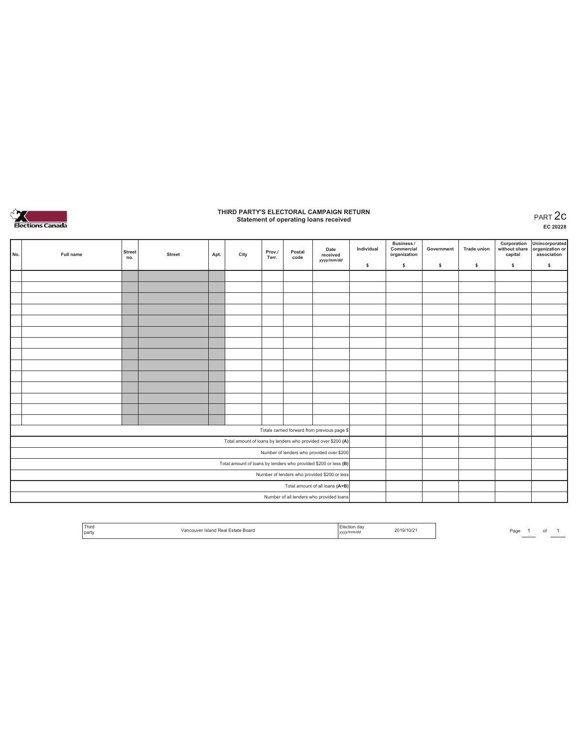

### **THIRD PARTY'S ELECTORAL CAMPAIGN RETURN Statement of operating loans received** PART 2c

**EC 20228**

| No. | Full name | <b>Street</b><br>no. | <b>Street</b> | Apt. | City | Prov./<br>Terr. | Postal<br>code | Date<br>received<br>yyyy/mm/dd                                  | Individual | <b>Business /</b><br>Commercial<br>organization | Government | <b>Trade union</b> | Corporation<br>without share<br>capital | Unincorporated<br>organization or<br>association |
|-----|-----------|----------------------|---------------|------|------|-----------------|----------------|-----------------------------------------------------------------|------------|-------------------------------------------------|------------|--------------------|-----------------------------------------|--------------------------------------------------|
|     |           |                      |               |      |      |                 |                |                                                                 | \$         | \$.                                             | \$         | s                  | \$                                      | $\mathbb S$                                      |
|     |           |                      |               |      |      |                 |                |                                                                 |            |                                                 |            |                    |                                         |                                                  |
|     |           |                      |               |      |      |                 |                |                                                                 |            |                                                 |            |                    |                                         |                                                  |
|     |           |                      |               |      |      |                 |                |                                                                 |            |                                                 |            |                    |                                         |                                                  |
|     |           |                      |               |      |      |                 |                |                                                                 |            |                                                 |            |                    |                                         |                                                  |
|     |           |                      |               |      |      |                 |                |                                                                 |            |                                                 |            |                    |                                         |                                                  |
|     |           |                      |               |      |      |                 |                |                                                                 |            |                                                 |            |                    |                                         |                                                  |
|     |           |                      |               |      |      |                 |                |                                                                 |            |                                                 |            |                    |                                         |                                                  |
|     |           |                      |               |      |      |                 |                |                                                                 |            |                                                 |            |                    |                                         |                                                  |
|     |           |                      |               |      |      |                 |                |                                                                 |            |                                                 |            |                    |                                         |                                                  |
|     |           |                      |               |      |      |                 |                |                                                                 |            |                                                 |            |                    |                                         |                                                  |
|     |           |                      |               |      |      |                 |                |                                                                 |            |                                                 |            |                    |                                         |                                                  |
|     |           |                      |               |      |      |                 |                |                                                                 |            |                                                 |            |                    |                                         |                                                  |
|     |           |                      |               |      |      |                 |                |                                                                 |            |                                                 |            |                    |                                         |                                                  |
|     |           |                      |               |      |      |                 |                |                                                                 |            |                                                 |            |                    |                                         |                                                  |
|     |           |                      |               |      |      |                 |                | Totals carried forward from previous page \$                    |            |                                                 |            |                    |                                         |                                                  |
|     |           |                      |               |      |      |                 |                | Total amount of loans by lenders who provided over \$200 (A)    |            |                                                 |            |                    |                                         |                                                  |
|     |           |                      |               |      |      |                 |                | Number of lenders who provided over \$200                       |            |                                                 |            |                    |                                         |                                                  |
|     |           |                      |               |      |      |                 |                | Total amount of loans by lenders who provided \$200 or less (B) |            |                                                 |            |                    |                                         |                                                  |
|     |           |                      |               |      |      |                 |                | Number of lenders who provided \$200 or less                    |            |                                                 |            |                    |                                         |                                                  |
|     |           |                      |               |      |      |                 |                | Total amount of all loans (A+B)                                 |            |                                                 |            |                    |                                         |                                                  |
|     |           |                      |               |      |      |                 |                | Number of all lenders who provided loans                        |            |                                                 |            |                    |                                         |                                                  |

| Third<br>- CIA<br>19/10/2<br>Board<br>-state<br>Rea<br>alone<br>'mm/c<br>party<br>. |
|-------------------------------------------------------------------------------------|
|-------------------------------------------------------------------------------------|

Page  $1$  of  $1$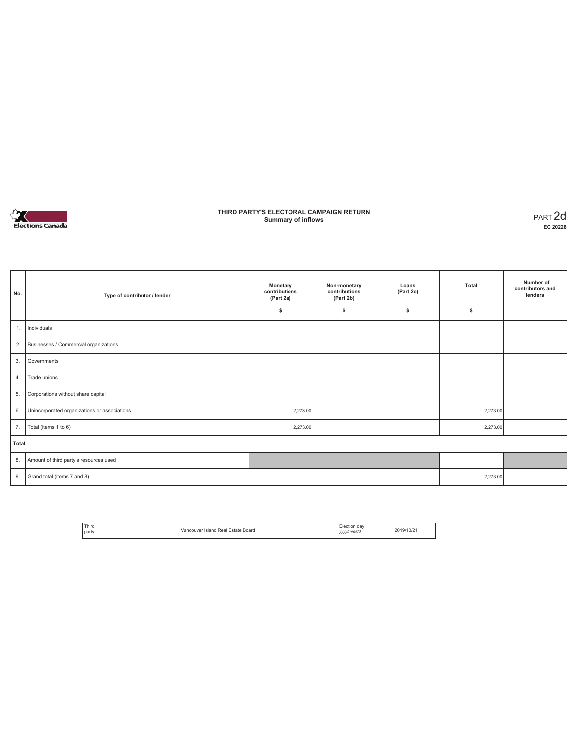

### **THIRD PARTY'S ELECTORAL CAMPAIGN RETURN Summary of inflows** PART 2d

| No.   | Type of contributor / lender                 | Monetary<br>contributions<br>(Part 2a)<br>\$ | Non-monetary<br>contributions<br>(Part 2b)<br>\$ | Loans<br>(Part 2c)<br>\$ | Total<br>\$ | Number of<br>contributors and<br>lenders |
|-------|----------------------------------------------|----------------------------------------------|--------------------------------------------------|--------------------------|-------------|------------------------------------------|
| 1.    | Individuals                                  |                                              |                                                  |                          |             |                                          |
| 2.    | Businesses / Commercial organizations        |                                              |                                                  |                          |             |                                          |
| 3.    | Governments                                  |                                              |                                                  |                          |             |                                          |
| 4.    | Trade unions                                 |                                              |                                                  |                          |             |                                          |
| 5.    | Corporations without share capital           |                                              |                                                  |                          |             |                                          |
| 6.    | Unincorporated organizations or associations | 2,273.00                                     |                                                  |                          | 2,273.00    |                                          |
| 7.    | Total (items 1 to 6)                         | 2,273.00                                     |                                                  |                          | 2,273.00    |                                          |
| Total |                                              |                                              |                                                  |                          |             |                                          |
| 8.    | Amount of third party's resources used       |                                              |                                                  |                          |             |                                          |
| 9.    | Grand total (items 7 and 8)                  |                                              |                                                  |                          | 2,273.00    |                                          |

| ' Third<br>l Estate Board<br>Vancouver Island Real<br>party | Election<br>da<br>2019/10/2<br>yyyy/mm/dd |  |
|-------------------------------------------------------------|-------------------------------------------|--|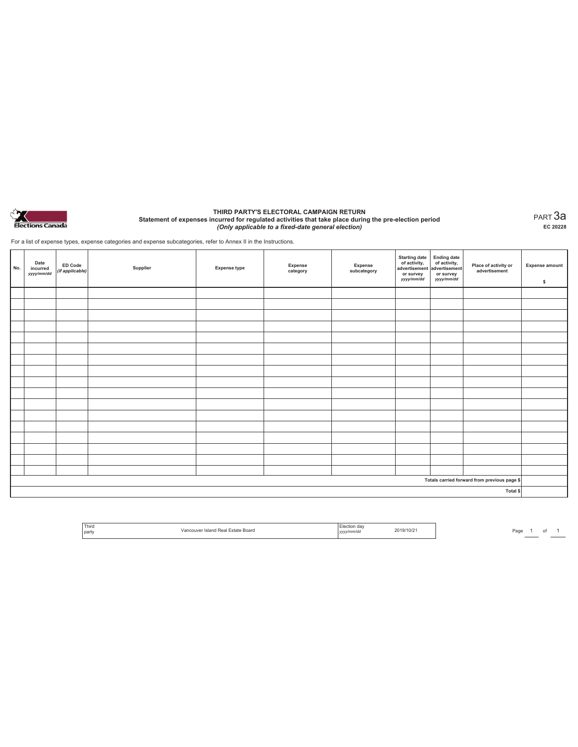

#### **THIRD PARTY'S ELECTORAL CAMPAIGN RETURN Statement of expenses incurred for regulated activities that take place during the pre-election period**  *(Only applicable to a fixed-date general election)*

PART 3a **EC 20228**

For a list of expense types, expense categories and expense subcategories, refer to Annex II in the Instructions.

| No. | Date<br>incurred<br>yyyy/mm/dd | ED Code<br>(if applicable) | Supplier | <b>Expense type</b> | Expense<br>category | Expense<br>subcategory | Starting date<br>of activity,<br>advertisement<br>advertisement<br>dvertisement<br>or survey<br>yyyy/mm/dd | or survey<br>yyyy/mm/dd | Place of activity or<br>advertisement        | <b>Expense amount</b><br>\$ |
|-----|--------------------------------|----------------------------|----------|---------------------|---------------------|------------------------|------------------------------------------------------------------------------------------------------------|-------------------------|----------------------------------------------|-----------------------------|
|     |                                |                            |          |                     |                     |                        |                                                                                                            |                         |                                              |                             |
|     |                                |                            |          |                     |                     |                        |                                                                                                            |                         |                                              |                             |
|     |                                |                            |          |                     |                     |                        |                                                                                                            |                         |                                              |                             |
|     |                                |                            |          |                     |                     |                        |                                                                                                            |                         |                                              |                             |
|     |                                |                            |          |                     |                     |                        |                                                                                                            |                         |                                              |                             |
|     |                                |                            |          |                     |                     |                        |                                                                                                            |                         |                                              |                             |
|     |                                |                            |          |                     |                     |                        |                                                                                                            |                         |                                              |                             |
|     |                                |                            |          |                     |                     |                        |                                                                                                            |                         |                                              |                             |
|     |                                |                            |          |                     |                     |                        |                                                                                                            |                         |                                              |                             |
|     |                                |                            |          |                     |                     |                        |                                                                                                            |                         |                                              |                             |
|     |                                |                            |          |                     |                     |                        |                                                                                                            |                         |                                              |                             |
|     |                                |                            |          |                     |                     |                        |                                                                                                            |                         |                                              |                             |
|     |                                |                            |          |                     |                     |                        |                                                                                                            |                         |                                              |                             |
|     |                                |                            |          |                     |                     |                        |                                                                                                            |                         |                                              |                             |
|     |                                |                            |          |                     |                     |                        |                                                                                                            |                         |                                              |                             |
|     |                                |                            |          |                     |                     |                        |                                                                                                            |                         |                                              |                             |
|     |                                |                            |          |                     |                     |                        |                                                                                                            |                         |                                              |                             |
|     |                                |                            |          |                     |                     |                        |                                                                                                            |                         | Totals carried forward from previous page \$ |                             |
|     |                                |                            |          |                     |                     |                        |                                                                                                            |                         | Total \$                                     |                             |

| ' Third<br>party | Board<br>state<br>Island<br>Doc <sup>1</sup><br>кеат<br>. | dav<br>v/mm/da<br>3.43.4<br>,,,, | 19/10/2<br>י הי |
|------------------|-----------------------------------------------------------|----------------------------------|-----------------|
|                  |                                                           |                                  |                 |

Page  $1$  of  $1$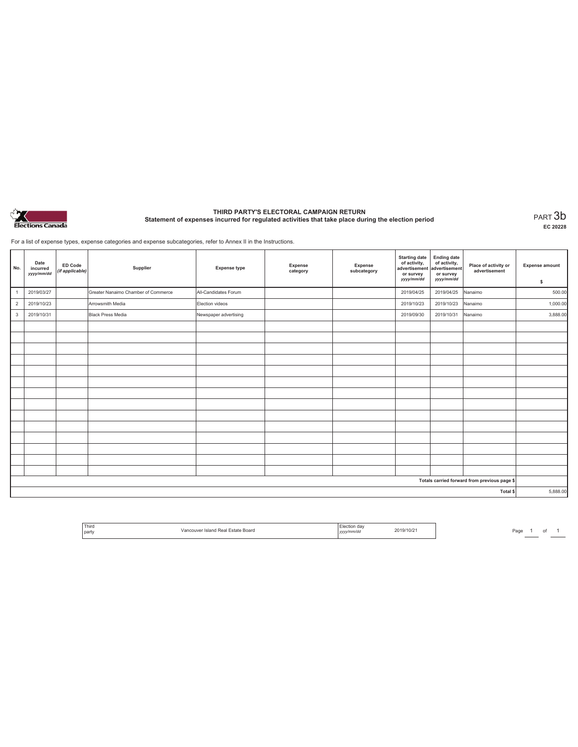

# **THIRD PARTY'S ELECTORAL CAMPAIGN RETURN Statement of expenses incurred for regulated activities that take place during the election period** PART 3b

**EC 20228**

For a list of expense types, expense categories and expense subcategories, refer to Annex II in the Instructions.

| No.                                          | Date<br>incurred<br>yyyy/mm/dd | <b>ED Code</b><br>(if applicable) | Supplier                            | <b>Expense type</b>   | Expense<br>category | Expense<br>subcategory | <b>Starting date</b><br>of activity,<br>advertisement<br>or survey<br>yyyy/mm/dd | <b>Ending date</b><br>of activity,<br>advertisement<br>or survey<br>yyyy/mm/dd | Place of activity or<br>advertisement | <b>Expense amount</b><br>\$ |
|----------------------------------------------|--------------------------------|-----------------------------------|-------------------------------------|-----------------------|---------------------|------------------------|----------------------------------------------------------------------------------|--------------------------------------------------------------------------------|---------------------------------------|-----------------------------|
| $\overline{1}$                               | 2019/03/27                     |                                   | Greater Nanaimo Chamber of Commerce | All-Candidates Forum  |                     |                        | 2019/04/25                                                                       | 2019/04/25                                                                     | Nanaimo                               | 500.00                      |
| $\overline{2}$                               | 2019/10/23                     |                                   | Arrowsmith Media                    | Election videos       |                     |                        | 2019/10/23                                                                       | 2019/10/23                                                                     | Nanaimo                               | 1,000.00                    |
| $\mathbf{3}$                                 | 2019/10/31                     |                                   | <b>Black Press Media</b>            | Newspaper advertising |                     |                        | 2019/09/30                                                                       | 2019/10/31                                                                     | Nanaimo                               | 3,888.00                    |
|                                              |                                |                                   |                                     |                       |                     |                        |                                                                                  |                                                                                |                                       |                             |
|                                              |                                |                                   |                                     |                       |                     |                        |                                                                                  |                                                                                |                                       |                             |
|                                              |                                |                                   |                                     |                       |                     |                        |                                                                                  |                                                                                |                                       |                             |
|                                              |                                |                                   |                                     |                       |                     |                        |                                                                                  |                                                                                |                                       |                             |
|                                              |                                |                                   |                                     |                       |                     |                        |                                                                                  |                                                                                |                                       |                             |
|                                              |                                |                                   |                                     |                       |                     |                        |                                                                                  |                                                                                |                                       |                             |
|                                              |                                |                                   |                                     |                       |                     |                        |                                                                                  |                                                                                |                                       |                             |
|                                              |                                |                                   |                                     |                       |                     |                        |                                                                                  |                                                                                |                                       |                             |
|                                              |                                |                                   |                                     |                       |                     |                        |                                                                                  |                                                                                |                                       |                             |
|                                              |                                |                                   |                                     |                       |                     |                        |                                                                                  |                                                                                |                                       |                             |
|                                              |                                |                                   |                                     |                       |                     |                        |                                                                                  |                                                                                |                                       |                             |
|                                              |                                |                                   |                                     |                       |                     |                        |                                                                                  |                                                                                |                                       |                             |
|                                              |                                |                                   |                                     |                       |                     |                        |                                                                                  |                                                                                |                                       |                             |
|                                              |                                |                                   |                                     |                       |                     |                        |                                                                                  |                                                                                |                                       |                             |
| Totals carried forward from previous page \$ |                                |                                   |                                     |                       |                     |                        |                                                                                  |                                                                                |                                       |                             |
| Total \$                                     |                                |                                   |                                     |                       |                     |                        | 5,888.00                                                                         |                                                                                |                                       |                             |

| ' Third<br>Board<br>party<br>. | da\<br>-lection<br>y/mm/do<br>,,,, | <sup>,</sup> า¤/10/z⊤ |
|--------------------------------|------------------------------------|-----------------------|
|--------------------------------|------------------------------------|-----------------------|

Page  $1$  of  $1$